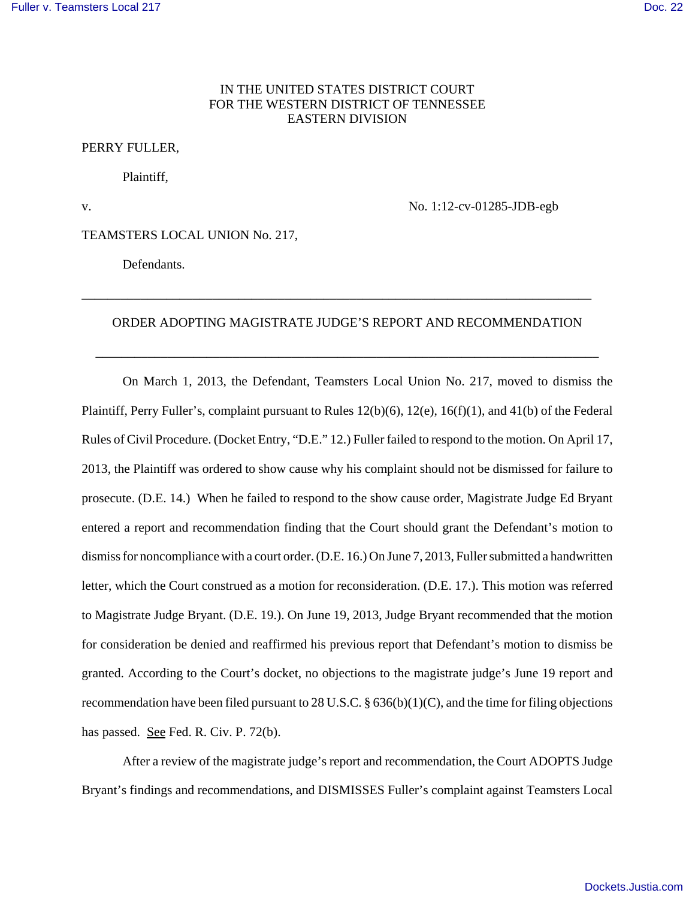## IN THE UNITED STATES DISTRICT COURT FOR THE WESTERN DISTRICT OF TENNESSEE EASTERN DIVISION

## PERRY FULLER,

Plaintiff,

v. No. 1:12-cv-01285-JDB-egb

TEAMSTERS LOCAL UNION No. 217,

Defendants.

## ORDER ADOPTING MAGISTRATE JUDGE'S REPORT AND RECOMMENDATION

\_\_\_\_\_\_\_\_\_\_\_\_\_\_\_\_\_\_\_\_\_\_\_\_\_\_\_\_\_\_\_\_\_\_\_\_\_\_\_\_\_\_\_\_\_\_\_\_\_\_\_\_\_\_\_\_\_\_\_\_\_\_\_\_\_\_\_\_\_\_\_\_\_\_\_\_\_

\_\_\_\_\_\_\_\_\_\_\_\_\_\_\_\_\_\_\_\_\_\_\_\_\_\_\_\_\_\_\_\_\_\_\_\_\_\_\_\_\_\_\_\_\_\_\_\_\_\_\_\_\_\_\_\_\_\_\_\_\_\_\_\_\_\_\_\_\_\_\_\_\_\_\_\_\_\_

On March 1, 2013, the Defendant, Teamsters Local Union No. 217, moved to dismiss the Plaintiff, Perry Fuller's, complaint pursuant to Rules 12(b)(6), 12(e), 16(f)(1), and 41(b) of the Federal Rules of Civil Procedure. (Docket Entry, "D.E." 12.) Fuller failed to respond to the motion. On April 17, 2013, the Plaintiff was ordered to show cause why his complaint should not be dismissed for failure to prosecute. (D.E. 14.) When he failed to respond to the show cause order, Magistrate Judge Ed Bryant entered a report and recommendation finding that the Court should grant the Defendant's motion to dismiss for noncompliance with a court order. (D.E. 16.) On June 7, 2013, Fuller submitted a handwritten letter, which the Court construed as a motion for reconsideration. (D.E. 17.). This motion was referred to Magistrate Judge Bryant. (D.E. 19.). On June 19, 2013, Judge Bryant recommended that the motion for consideration be denied and reaffirmed his previous report that Defendant's motion to dismiss be granted. According to the Court's docket, no objections to the magistrate judge's June 19 report and recommendation have been filed pursuant to 28 U.S.C.  $\S$  636(b)(1)(C), and the time for filing objections has passed. See Fed. R. Civ. P. 72(b).

After a review of the magistrate judge's report and recommendation, the Court ADOPTS Judge Bryant's findings and recommendations, and DISMISSES Fuller's complaint against Teamsters Local